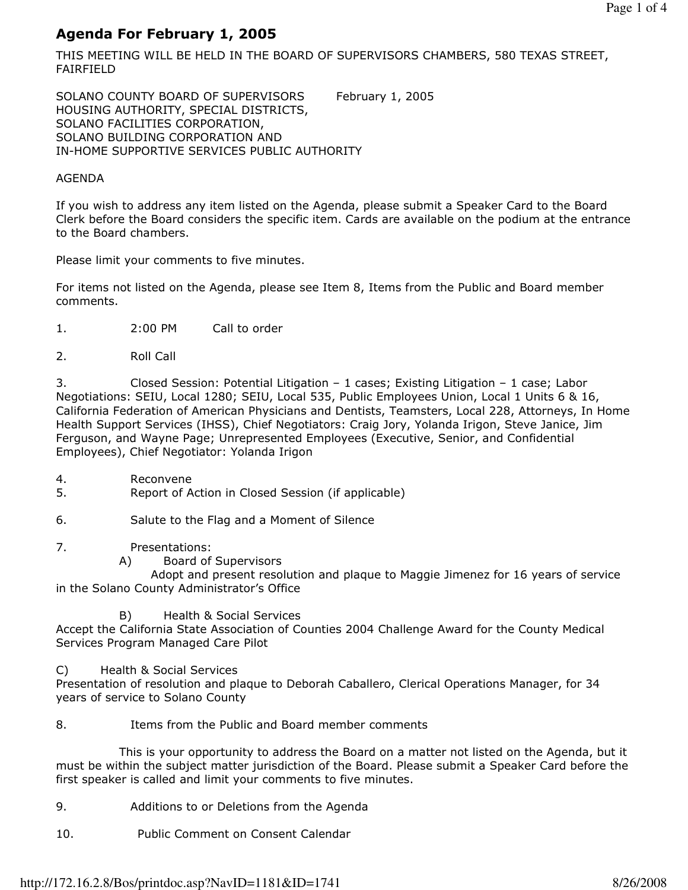# Agenda For February 1, 2005

THIS MEETING WILL BE HELD IN THE BOARD OF SUPERVISORS CHAMBERS, 580 TEXAS STREET, FAIRFIELD

SOLANO COUNTY BOARD OF SUPERVISORS February 1, 2005 HOUSING AUTHORITY, SPECIAL DISTRICTS, SOLANO FACILITIES CORPORATION, SOLANO BUILDING CORPORATION AND IN-HOME SUPPORTIVE SERVICES PUBLIC AUTHORITY

## AGENDA

If you wish to address any item listed on the Agenda, please submit a Speaker Card to the Board Clerk before the Board considers the specific item. Cards are available on the podium at the entrance to the Board chambers.

Please limit your comments to five minutes.

For items not listed on the Agenda, please see Item 8, Items from the Public and Board member comments.

- 1. 2:00 PM Call to order
- 2. Roll Call

3. Closed Session: Potential Litigation – 1 cases; Existing Litigation – 1 case; Labor Negotiations: SEIU, Local 1280; SEIU, Local 535, Public Employees Union, Local 1 Units 6 & 16, California Federation of American Physicians and Dentists, Teamsters, Local 228, Attorneys, In Home Health Support Services (IHSS), Chief Negotiators: Craig Jory, Yolanda Irigon, Steve Janice, Jim Ferguson, and Wayne Page; Unrepresented Employees (Executive, Senior, and Confidential Employees), Chief Negotiator: Yolanda Irigon

- 4. Reconvene
- 5. Report of Action in Closed Session (if applicable)
- 6. Salute to the Flag and a Moment of Silence

# 7. Presentations:

A) Board of Supervisors

 Adopt and present resolution and plaque to Maggie Jimenez for 16 years of service in the Solano County Administrator's Office

B) Health & Social Services

Accept the California State Association of Counties 2004 Challenge Award for the County Medical Services Program Managed Care Pilot

C) Health & Social Services

Presentation of resolution and plaque to Deborah Caballero, Clerical Operations Manager, for 34 years of service to Solano County

# 8. Items from the Public and Board member comments

 This is your opportunity to address the Board on a matter not listed on the Agenda, but it must be within the subject matter jurisdiction of the Board. Please submit a Speaker Card before the first speaker is called and limit your comments to five minutes.

- 9. Additions to or Deletions from the Agenda
- 10. Public Comment on Consent Calendar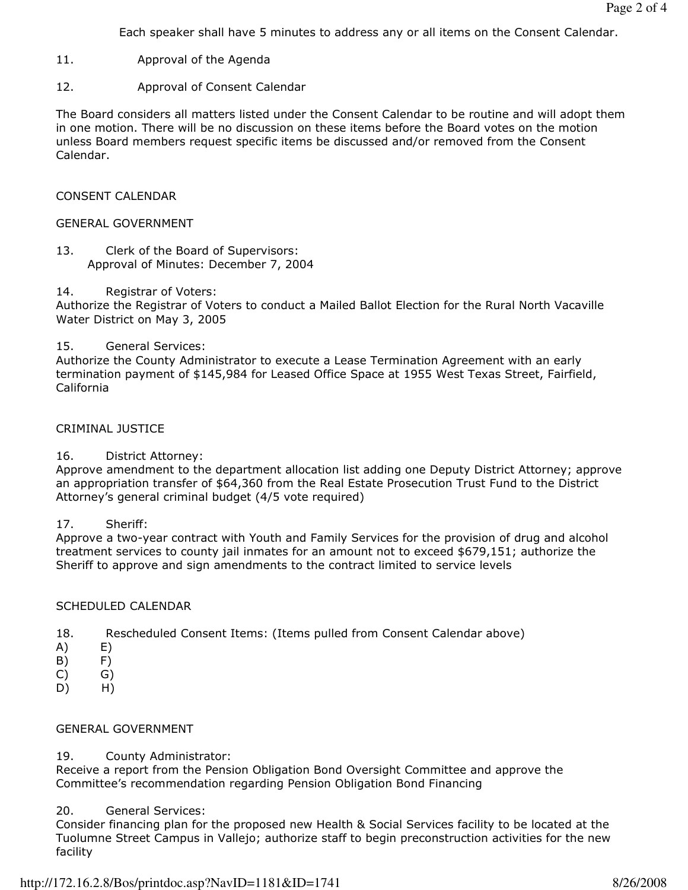Each speaker shall have 5 minutes to address any or all items on the Consent Calendar.

- 11. Approval of the Agenda
- 12. Approval of Consent Calendar

The Board considers all matters listed under the Consent Calendar to be routine and will adopt them in one motion. There will be no discussion on these items before the Board votes on the motion unless Board members request specific items be discussed and/or removed from the Consent Calendar.

### CONSENT CALENDAR

## GENERAL GOVERNMENT

13. Clerk of the Board of Supervisors: Approval of Minutes: December 7, 2004

#### 14. Registrar of Voters:

Authorize the Registrar of Voters to conduct a Mailed Ballot Election for the Rural North Vacaville Water District on May 3, 2005

#### 15. General Services:

Authorize the County Administrator to execute a Lease Termination Agreement with an early termination payment of \$145,984 for Leased Office Space at 1955 West Texas Street, Fairfield, California

#### CRIMINAL JUSTICE

# 16. District Attorney:

Approve amendment to the department allocation list adding one Deputy District Attorney; approve an appropriation transfer of \$64,360 from the Real Estate Prosecution Trust Fund to the District Attorney's general criminal budget (4/5 vote required)

#### 17. Sheriff:

Approve a two-year contract with Youth and Family Services for the provision of drug and alcohol treatment services to county jail inmates for an amount not to exceed \$679,151; authorize the Sheriff to approve and sign amendments to the contract limited to service levels

#### SCHEDULED CALENDAR

- 18. Rescheduled Consent Items: (Items pulled from Consent Calendar above)
- A) E)
- B) F)
- C) G)
- D) H)

# GENERAL GOVERNMENT

# 19. County Administrator:

Receive a report from the Pension Obligation Bond Oversight Committee and approve the Committee's recommendation regarding Pension Obligation Bond Financing

# 20. General Services:

Consider financing plan for the proposed new Health & Social Services facility to be located at the Tuolumne Street Campus in Vallejo; authorize staff to begin preconstruction activities for the new facility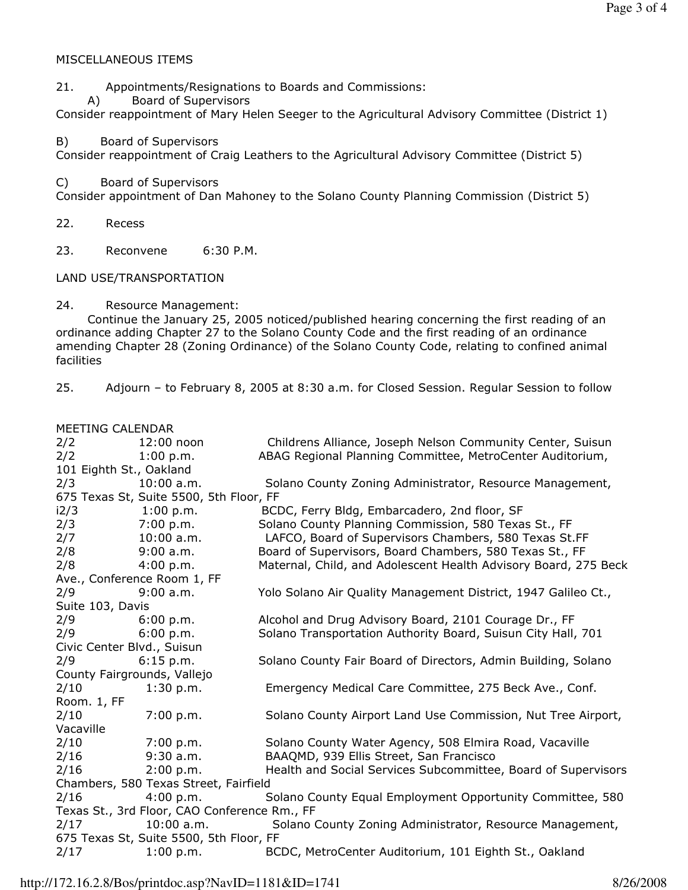## MISCELLANEOUS ITEMS

21. Appointments/Resignations to Boards and Commissions:

A) Board of Supervisors

Consider reappointment of Mary Helen Seeger to the Agricultural Advisory Committee (District 1)

B) Board of Supervisors

Consider reappointment of Craig Leathers to the Agricultural Advisory Committee (District 5)

C) Board of Supervisors

Consider appointment of Dan Mahoney to the Solano County Planning Commission (District 5)

22. Recess

23. Reconvene 6:30 P.M.

LAND USE/TRANSPORTATION

24. Resource Management:

 Continue the January 25, 2005 noticed/published hearing concerning the first reading of an ordinance adding Chapter 27 to the Solano County Code and the first reading of an ordinance amending Chapter 28 (Zoning Ordinance) of the Solano County Code, relating to confined animal facilities

25. Adjourn – to February 8, 2005 at 8:30 a.m. for Closed Session. Regular Session to follow

## MEETING CALENDAR

| 2/2                                          | 12:00 noon   | Childrens Alliance, Joseph Nelson Community Center, Suisun      |  |  |
|----------------------------------------------|--------------|-----------------------------------------------------------------|--|--|
| 2/2                                          | 1:00 p.m.    | ABAG Regional Planning Committee, MetroCenter Auditorium,       |  |  |
| 101 Eighth St., Oakland                      |              |                                                                 |  |  |
| 2/3                                          | $10:00$ a.m. | Solano County Zoning Administrator, Resource Management,        |  |  |
| 675 Texas St, Suite 5500, 5th Floor, FF      |              |                                                                 |  |  |
| i2/3                                         | 1:00 p.m.    | BCDC, Ferry Bldg, Embarcadero, 2nd floor, SF                    |  |  |
| 2/3                                          | 7:00 p.m.    | Solano County Planning Commission, 580 Texas St., FF            |  |  |
| 2/7                                          | $10:00$ a.m. | LAFCO, Board of Supervisors Chambers, 580 Texas St.FF           |  |  |
| 2/8                                          | 9:00 a.m.    | Board of Supervisors, Board Chambers, 580 Texas St., FF         |  |  |
| 2/8                                          | 4:00 p.m.    | Maternal, Child, and Adolescent Health Advisory Board, 275 Beck |  |  |
| Ave., Conference Room 1, FF                  |              |                                                                 |  |  |
| 2/9                                          | 9:00 a.m.    | Yolo Solano Air Quality Management District, 1947 Galileo Ct.,  |  |  |
| Suite 103, Davis                             |              |                                                                 |  |  |
| 2/9                                          | 6:00 p.m.    | Alcohol and Drug Advisory Board, 2101 Courage Dr., FF           |  |  |
| 2/9                                          | 6:00 p.m.    | Solano Transportation Authority Board, Suisun City Hall, 701    |  |  |
| Civic Center Blvd., Suisun                   |              |                                                                 |  |  |
| 2/9                                          | 6:15 p.m.    | Solano County Fair Board of Directors, Admin Building, Solano   |  |  |
| County Fairgrounds, Vallejo                  |              |                                                                 |  |  |
| 2/10                                         | 1:30 p.m.    | Emergency Medical Care Committee, 275 Beck Ave., Conf.          |  |  |
| Room. 1, FF                                  |              |                                                                 |  |  |
| 2/10                                         | 7:00 p.m.    | Solano County Airport Land Use Commission, Nut Tree Airport,    |  |  |
| Vacaville                                    |              |                                                                 |  |  |
| 2/10                                         | 7:00 p.m.    | Solano County Water Agency, 508 Elmira Road, Vacaville          |  |  |
| 2/16                                         | $9:30$ a.m.  | BAAQMD, 939 Ellis Street, San Francisco                         |  |  |
| 2/16                                         | 2:00 p.m.    | Health and Social Services Subcommittee, Board of Supervisors   |  |  |
| Chambers, 580 Texas Street, Fairfield        |              |                                                                 |  |  |
| 2/16                                         | 4:00 p.m.    | Solano County Equal Employment Opportunity Committee, 580       |  |  |
| Texas St., 3rd Floor, CAO Conference Rm., FF |              |                                                                 |  |  |
| 2/17                                         | $10:00$ a.m. | Solano County Zoning Administrator, Resource Management,        |  |  |
| 675 Texas St, Suite 5500, 5th Floor, FF      |              |                                                                 |  |  |
| 2/17                                         | 1:00 p.m.    | BCDC, MetroCenter Auditorium, 101 Eighth St., Oakland           |  |  |